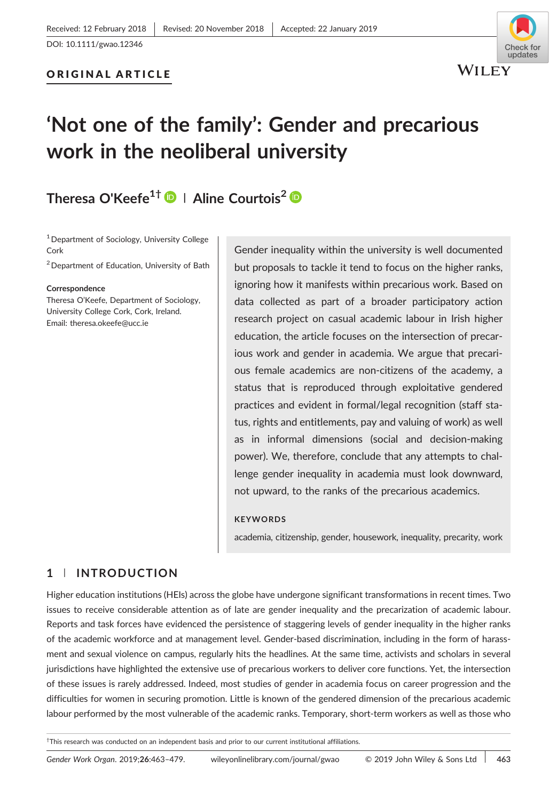# ORIGINAL ARTICLE



# 'Not one of the family': Gender and precarious work in the neoliberal university

# Theresa O'Keefe<sup>1†</sup>  $\bullet$  | Aline Courtois<sup>2</sup>  $\bullet$

<sup>1</sup> Department of Sociology, University College Cork

<sup>2</sup> Department of Education, University of Bath

#### **Correspondence**

Theresa O'Keefe, Department of Sociology, University College Cork, Cork, Ireland. Email: [theresa.okeefe@ucc.ie](mailto:theresa.okeefe@ucc.ie)

Gender inequality within the university is well documented but proposals to tackle it tend to focus on the higher ranks, ignoring how it manifests within precarious work. Based on data collected as part of a broader participatory action research project on casual academic labour in Irish higher education, the article focuses on the intersection of precarious work and gender in academia. We argue that precarious female academics are non‐citizens of the academy, a status that is reproduced through exploitative gendered practices and evident in formal/legal recognition (staff status, rights and entitlements, pay and valuing of work) as well as in informal dimensions (social and decision‐making power). We, therefore, conclude that any attempts to challenge gender inequality in academia must look downward, not upward, to the ranks of the precarious academics.

#### **KEYWORDS**

academia, citizenship, gender, housework, inequality, precarity, work

#### 1 | INTRODUCTION

Higher education institutions (HEIs) across the globe have undergone significant transformations in recent times. Two issues to receive considerable attention as of late are gender inequality and the precarization of academic labour. Reports and task forces have evidenced the persistence of staggering levels of gender inequality in the higher ranks of the academic workforce and at management level. Gender‐based discrimination, including in the form of harassment and sexual violence on campus, regularly hits the headlines. At the same time, activists and scholars in several jurisdictions have highlighted the extensive use of precarious workers to deliver core functions. Yet, the intersection of these issues is rarely addressed. Indeed, most studies of gender in academia focus on career progression and the difficulties for women in securing promotion. Little is known of the gendered dimension of the precarious academic labour performed by the most vulnerable of the academic ranks. Temporary, short-term workers as well as those who

† This research was conducted on an independent basis and prior to our current institutional affiliations.

Gender Work Organ. 2019;26:463-479. Wileyonlinelibrary.com/journal/gwao © 2019 John Wiley & Sons Ltd | 463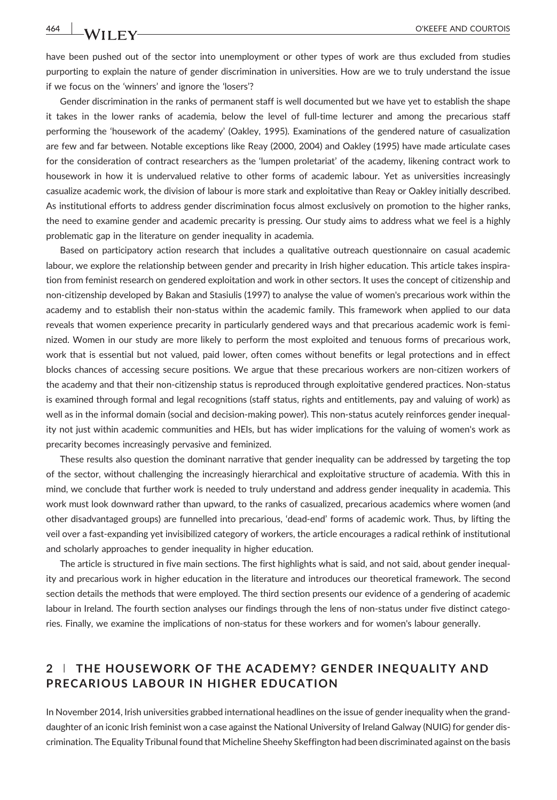have been pushed out of the sector into unemployment or other types of work are thus excluded from studies purporting to explain the nature of gender discrimination in universities. How are we to truly understand the issue if we focus on the 'winners' and ignore the 'losers'?

Gender discrimination in the ranks of permanent staff is well documented but we have yet to establish the shape it takes in the lower ranks of academia, below the level of full‐time lecturer and among the precarious staff performing the 'housework of the academy' (Oakley, 1995). Examinations of the gendered nature of casualization are few and far between. Notable exceptions like Reay (2000, 2004) and Oakley (1995) have made articulate cases for the consideration of contract researchers as the 'lumpen proletariat' of the academy, likening contract work to housework in how it is undervalued relative to other forms of academic labour. Yet as universities increasingly casualize academic work, the division of labour is more stark and exploitative than Reay or Oakley initially described. As institutional efforts to address gender discrimination focus almost exclusively on promotion to the higher ranks, the need to examine gender and academic precarity is pressing. Our study aims to address what we feel is a highly problematic gap in the literature on gender inequality in academia.

Based on participatory action research that includes a qualitative outreach questionnaire on casual academic labour, we explore the relationship between gender and precarity in Irish higher education. This article takes inspiration from feminist research on gendered exploitation and work in other sectors. It uses the concept of citizenship and non‐citizenship developed by Bakan and Stasiulis (1997) to analyse the value of women's precarious work within the academy and to establish their non‐status within the academic family. This framework when applied to our data reveals that women experience precarity in particularly gendered ways and that precarious academic work is feminized. Women in our study are more likely to perform the most exploited and tenuous forms of precarious work, work that is essential but not valued, paid lower, often comes without benefits or legal protections and in effect blocks chances of accessing secure positions. We argue that these precarious workers are non‐citizen workers of the academy and that their non-citizenship status is reproduced through exploitative gendered practices. Non-status is examined through formal and legal recognitions (staff status, rights and entitlements, pay and valuing of work) as well as in the informal domain (social and decision-making power). This non-status acutely reinforces gender inequality not just within academic communities and HEIs, but has wider implications for the valuing of women's work as precarity becomes increasingly pervasive and feminized.

These results also question the dominant narrative that gender inequality can be addressed by targeting the top of the sector, without challenging the increasingly hierarchical and exploitative structure of academia. With this in mind, we conclude that further work is needed to truly understand and address gender inequality in academia. This work must look downward rather than upward, to the ranks of casualized, precarious academics where women (and other disadvantaged groups) are funnelled into precarious, 'dead‐end' forms of academic work. Thus, by lifting the veil over a fast‐expanding yet invisibilized category of workers, the article encourages a radical rethink of institutional and scholarly approaches to gender inequality in higher education.

The article is structured in five main sections. The first highlights what is said, and not said, about gender inequality and precarious work in higher education in the literature and introduces our theoretical framework. The second section details the methods that were employed. The third section presents our evidence of a gendering of academic labour in Ireland. The fourth section analyses our findings through the lens of non-status under five distinct categories. Finally, we examine the implications of non‐status for these workers and for women's labour generally.

# 2 | THE HOUSEWORK OF THE ACADEMY? GENDER INEQUALITY AND PRECARIOUS LABOUR IN HIGHER EDUCATION

In November 2014, Irish universities grabbed international headlines on the issue of gender inequality when the granddaughter of an iconic Irish feminist won a case against the National University of Ireland Galway (NUIG) for gender discrimination. The Equality Tribunal found that Micheline Sheehy Skeffington had been discriminated against on the basis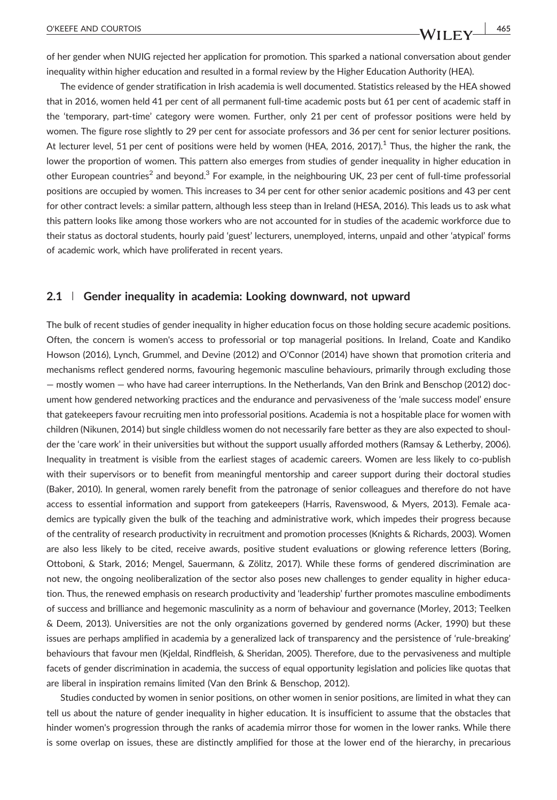The evidence of gender stratification in Irish academia is well documented. Statistics released by the HEA showed that in 2016, women held 41 per cent of all permanent full‐time academic posts but 61 per cent of academic staff in the 'temporary, part‐time' category were women. Further, only 21 per cent of professor positions were held by women. The figure rose slightly to 29 per cent for associate professors and 36 per cent for senior lecturer positions. At lecturer level, 51 per cent of positions were held by women (HEA, 2016, 2017).<sup>1</sup> Thus, the higher the rank, the lower the proportion of women. This pattern also emerges from studies of gender inequality in higher education in other European countries<sup>2</sup> and beyond.<sup>3</sup> For example, in the neighbouring UK, 23 per cent of full-time professorial positions are occupied by women. This increases to 34 per cent for other senior academic positions and 43 per cent for other contract levels: a similar pattern, although less steep than in Ireland (HESA, 2016). This leads us to ask what this pattern looks like among those workers who are not accounted for in studies of the academic workforce due to their status as doctoral students, hourly paid 'guest' lecturers, unemployed, interns, unpaid and other 'atypical' forms of academic work, which have proliferated in recent years.

#### 2.1 | Gender inequality in academia: Looking downward, not upward

The bulk of recent studies of gender inequality in higher education focus on those holding secure academic positions. Often, the concern is women's access to professorial or top managerial positions. In Ireland, Coate and Kandiko Howson (2016), Lynch, Grummel, and Devine (2012) and O'Connor (2014) have shown that promotion criteria and mechanisms reflect gendered norms, favouring hegemonic masculine behaviours, primarily through excluding those — mostly women — who have had career interruptions. In the Netherlands, Van den Brink and Benschop (2012) document how gendered networking practices and the endurance and pervasiveness of the 'male success model' ensure that gatekeepers favour recruiting men into professorial positions. Academia is not a hospitable place for women with children (Nikunen, 2014) but single childless women do not necessarily fare better as they are also expected to shoulder the 'care work' in their universities but without the support usually afforded mothers (Ramsay & Letherby, 2006). Inequality in treatment is visible from the earliest stages of academic careers. Women are less likely to co‐publish with their supervisors or to benefit from meaningful mentorship and career support during their doctoral studies (Baker, 2010). In general, women rarely benefit from the patronage of senior colleagues and therefore do not have access to essential information and support from gatekeepers (Harris, Ravenswood, & Myers, 2013). Female academics are typically given the bulk of the teaching and administrative work, which impedes their progress because of the centrality of research productivity in recruitment and promotion processes (Knights & Richards, 2003). Women are also less likely to be cited, receive awards, positive student evaluations or glowing reference letters (Boring, Ottoboni, & Stark, 2016; Mengel, Sauermann, & Zölitz, 2017). While these forms of gendered discrimination are not new, the ongoing neoliberalization of the sector also poses new challenges to gender equality in higher education. Thus, the renewed emphasis on research productivity and 'leadership' further promotes masculine embodiments of success and brilliance and hegemonic masculinity as a norm of behaviour and governance (Morley, 2013; Teelken & Deem, 2013). Universities are not the only organizations governed by gendered norms (Acker, 1990) but these issues are perhaps amplified in academia by a generalized lack of transparency and the persistence of 'rule‐breaking' behaviours that favour men (Kjeldal, Rindfleish, & Sheridan, 2005). Therefore, due to the pervasiveness and multiple facets of gender discrimination in academia, the success of equal opportunity legislation and policies like quotas that are liberal in inspiration remains limited (Van den Brink & Benschop, 2012).

Studies conducted by women in senior positions, on other women in senior positions, are limited in what they can tell us about the nature of gender inequality in higher education. It is insufficient to assume that the obstacles that hinder women's progression through the ranks of academia mirror those for women in the lower ranks. While there is some overlap on issues, these are distinctly amplified for those at the lower end of the hierarchy, in precarious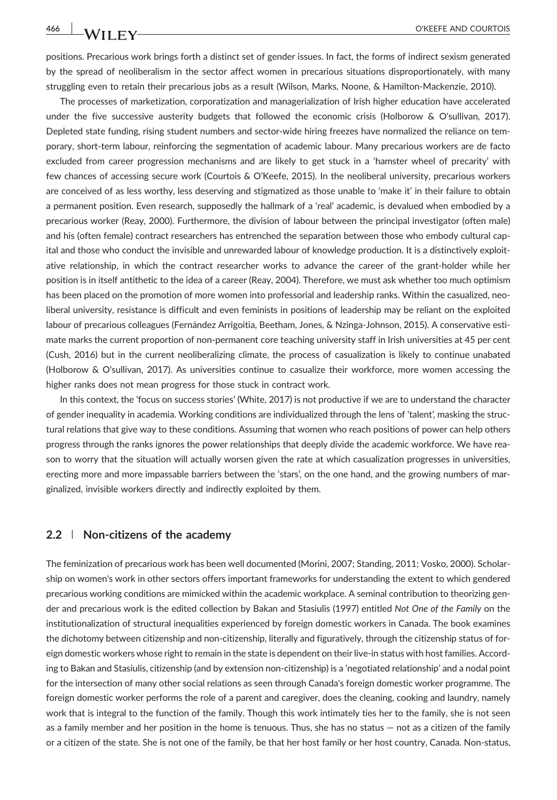positions. Precarious work brings forth a distinct set of gender issues. In fact, the forms of indirect sexism generated by the spread of neoliberalism in the sector affect women in precarious situations disproportionately, with many struggling even to retain their precarious jobs as a result (Wilson, Marks, Noone, & Hamilton‐Mackenzie, 2010).

The processes of marketization, corporatization and managerialization of Irish higher education have accelerated under the five successive austerity budgets that followed the economic crisis (Holborow & O'sullivan, 2017). Depleted state funding, rising student numbers and sector-wide hiring freezes have normalized the reliance on temporary, short-term labour, reinforcing the segmentation of academic labour. Many precarious workers are de facto excluded from career progression mechanisms and are likely to get stuck in a 'hamster wheel of precarity' with few chances of accessing secure work (Courtois & O'Keefe, 2015). In the neoliberal university, precarious workers are conceived of as less worthy, less deserving and stigmatized as those unable to 'make it' in their failure to obtain a permanent position. Even research, supposedly the hallmark of a 'real' academic, is devalued when embodied by a precarious worker (Reay, 2000). Furthermore, the division of labour between the principal investigator (often male) and his (often female) contract researchers has entrenched the separation between those who embody cultural capital and those who conduct the invisible and unrewarded labour of knowledge production. It is a distinctively exploitative relationship, in which the contract researcher works to advance the career of the grant‐holder while her position is in itself antithetic to the idea of a career (Reay, 2004). Therefore, we must ask whether too much optimism has been placed on the promotion of more women into professorial and leadership ranks. Within the casualized, neoliberal university, resistance is difficult and even feminists in positions of leadership may be reliant on the exploited labour of precarious colleagues (Fernández Arrigoitia, Beetham, Jones, & Nzinga‐Johnson, 2015). A conservative estimate marks the current proportion of non‐permanent core teaching university staff in Irish universities at 45 per cent (Cush, 2016) but in the current neoliberalizing climate, the process of casualization is likely to continue unabated (Holborow & O'sullivan, 2017). As universities continue to casualize their workforce, more women accessing the higher ranks does not mean progress for those stuck in contract work.

In this context, the 'focus on success stories' (White, 2017) is not productive if we are to understand the character of gender inequality in academia. Working conditions are individualized through the lens of 'talent', masking the structural relations that give way to these conditions. Assuming that women who reach positions of power can help others progress through the ranks ignores the power relationships that deeply divide the academic workforce. We have reason to worry that the situation will actually worsen given the rate at which casualization progresses in universities, erecting more and more impassable barriers between the 'stars', on the one hand, and the growing numbers of marginalized, invisible workers directly and indirectly exploited by them.

#### 2.2 | Non-citizens of the academy

The feminization of precarious work has been well documented (Morini, 2007; Standing, 2011; Vosko, 2000). Scholarship on women's work in other sectors offers important frameworks for understanding the extent to which gendered precarious working conditions are mimicked within the academic workplace. A seminal contribution to theorizing gender and precarious work is the edited collection by Bakan and Stasiulis (1997) entitled Not One of the Family on the institutionalization of structural inequalities experienced by foreign domestic workers in Canada. The book examines the dichotomy between citizenship and non‐citizenship, literally and figuratively, through the citizenship status of foreign domestic workers whose right to remain in the state is dependent on their live-in status with host families. According to Bakan and Stasiulis, citizenship (and by extension non‐citizenship) is a 'negotiated relationship' and a nodal point for the intersection of many other social relations as seen through Canada's foreign domestic worker programme. The foreign domestic worker performs the role of a parent and caregiver, does the cleaning, cooking and laundry, namely work that is integral to the function of the family. Though this work intimately ties her to the family, she is not seen as a family member and her position in the home is tenuous. Thus, she has no status — not as a citizen of the family or a citizen of the state. She is not one of the family, be that her host family or her host country, Canada. Non‐status,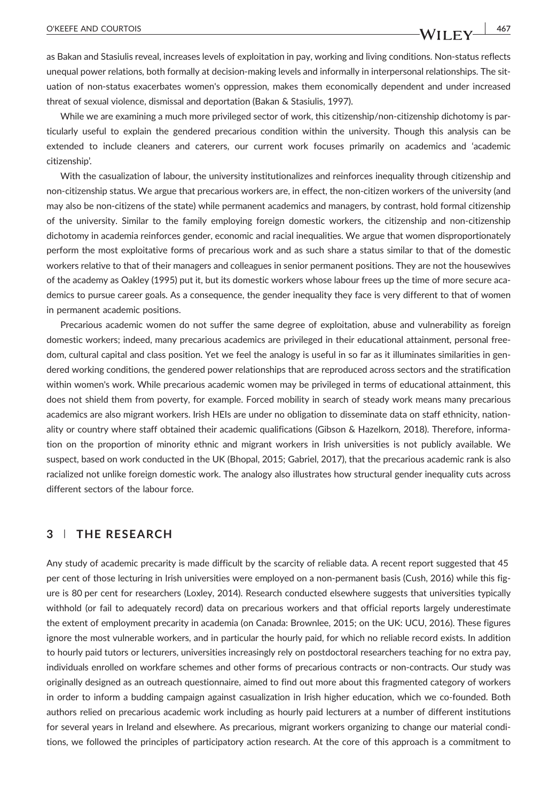as Bakan and Stasiulis reveal, increases levels of exploitation in pay, working and living conditions. Non‐status reflects unequal power relations, both formally at decision‐making levels and informally in interpersonal relationships. The situation of non‐status exacerbates women's oppression, makes them economically dependent and under increased threat of sexual violence, dismissal and deportation (Bakan & Stasiulis, 1997).

While we are examining a much more privileged sector of work, this citizenship/non-citizenship dichotomy is particularly useful to explain the gendered precarious condition within the university. Though this analysis can be extended to include cleaners and caterers, our current work focuses primarily on academics and 'academic citizenship'.

With the casualization of labour, the university institutionalizes and reinforces inequality through citizenship and non-citizenship status. We argue that precarious workers are, in effect, the non-citizen workers of the university (and may also be non-citizens of the state) while permanent academics and managers, by contrast, hold formal citizenship of the university. Similar to the family employing foreign domestic workers, the citizenship and non‐citizenship dichotomy in academia reinforces gender, economic and racial inequalities. We argue that women disproportionately perform the most exploitative forms of precarious work and as such share a status similar to that of the domestic workers relative to that of their managers and colleagues in senior permanent positions. They are not the housewives of the academy as Oakley (1995) put it, but its domestic workers whose labour frees up the time of more secure academics to pursue career goals. As a consequence, the gender inequality they face is very different to that of women in permanent academic positions.

Precarious academic women do not suffer the same degree of exploitation, abuse and vulnerability as foreign domestic workers; indeed, many precarious academics are privileged in their educational attainment, personal freedom, cultural capital and class position. Yet we feel the analogy is useful in so far as it illuminates similarities in gendered working conditions, the gendered power relationships that are reproduced across sectors and the stratification within women's work. While precarious academic women may be privileged in terms of educational attainment, this does not shield them from poverty, for example. Forced mobility in search of steady work means many precarious academics are also migrant workers. Irish HEIs are under no obligation to disseminate data on staff ethnicity, nationality or country where staff obtained their academic qualifications (Gibson & Hazelkorn, 2018). Therefore, information on the proportion of minority ethnic and migrant workers in Irish universities is not publicly available. We suspect, based on work conducted in the UK (Bhopal, 2015; Gabriel, 2017), that the precarious academic rank is also racialized not unlike foreign domestic work. The analogy also illustrates how structural gender inequality cuts across different sectors of the labour force.

### 3 | THE RESEARCH

Any study of academic precarity is made difficult by the scarcity of reliable data. A recent report suggested that 45 per cent of those lecturing in Irish universities were employed on a non‐permanent basis (Cush, 2016) while this figure is 80 per cent for researchers (Loxley, 2014). Research conducted elsewhere suggests that universities typically withhold (or fail to adequately record) data on precarious workers and that official reports largely underestimate the extent of employment precarity in academia (on Canada: Brownlee, 2015; on the UK: UCU, 2016). These figures ignore the most vulnerable workers, and in particular the hourly paid, for which no reliable record exists. In addition to hourly paid tutors or lecturers, universities increasingly rely on postdoctoral researchers teaching for no extra pay, individuals enrolled on workfare schemes and other forms of precarious contracts or non-contracts. Our study was originally designed as an outreach questionnaire, aimed to find out more about this fragmented category of workers in order to inform a budding campaign against casualization in Irish higher education, which we co‐founded. Both authors relied on precarious academic work including as hourly paid lecturers at a number of different institutions for several years in Ireland and elsewhere. As precarious, migrant workers organizing to change our material conditions, we followed the principles of participatory action research. At the core of this approach is a commitment to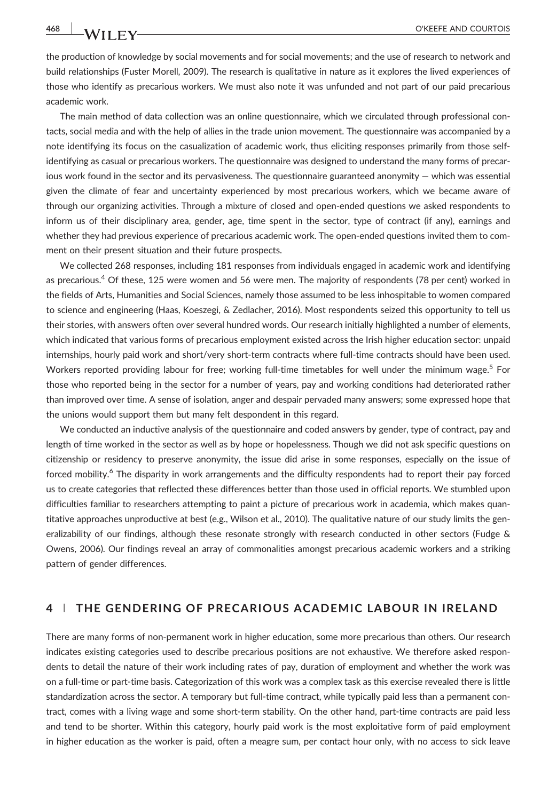the production of knowledge by social movements and for social movements; and the use of research to network and build relationships (Fuster Morell, 2009). The research is qualitative in nature as it explores the lived experiences of those who identify as precarious workers. We must also note it was unfunded and not part of our paid precarious academic work.

The main method of data collection was an online questionnaire, which we circulated through professional contacts, social media and with the help of allies in the trade union movement. The questionnaire was accompanied by a note identifying its focus on the casualization of academic work, thus eliciting responses primarily from those selfidentifying as casual or precarious workers. The questionnaire was designed to understand the many forms of precarious work found in the sector and its pervasiveness. The questionnaire guaranteed anonymity — which was essential given the climate of fear and uncertainty experienced by most precarious workers, which we became aware of through our organizing activities. Through a mixture of closed and open-ended questions we asked respondents to inform us of their disciplinary area, gender, age, time spent in the sector, type of contract (if any), earnings and whether they had previous experience of precarious academic work. The open-ended questions invited them to comment on their present situation and their future prospects.

We collected 268 responses, including 181 responses from individuals engaged in academic work and identifying as precarious.<sup>4</sup> Of these, 125 were women and 56 were men. The majority of respondents (78 per cent) worked in the fields of Arts, Humanities and Social Sciences, namely those assumed to be less inhospitable to women compared to science and engineering (Haas, Koeszegi, & Zedlacher, 2016). Most respondents seized this opportunity to tell us their stories, with answers often over several hundred words. Our research initially highlighted a number of elements, which indicated that various forms of precarious employment existed across the Irish higher education sector: unpaid internships, hourly paid work and short/very short‐term contracts where full‐time contracts should have been used. Workers reported providing labour for free; working full-time timetables for well under the minimum wage.<sup>5</sup> For those who reported being in the sector for a number of years, pay and working conditions had deteriorated rather than improved over time. A sense of isolation, anger and despair pervaded many answers; some expressed hope that the unions would support them but many felt despondent in this regard.

We conducted an inductive analysis of the questionnaire and coded answers by gender, type of contract, pay and length of time worked in the sector as well as by hope or hopelessness. Though we did not ask specific questions on citizenship or residency to preserve anonymity, the issue did arise in some responses, especially on the issue of forced mobility.<sup>6</sup> The disparity in work arrangements and the difficulty respondents had to report their pay forced us to create categories that reflected these differences better than those used in official reports. We stumbled upon difficulties familiar to researchers attempting to paint a picture of precarious work in academia, which makes quantitative approaches unproductive at best (e.g., Wilson et al., 2010). The qualitative nature of our study limits the generalizability of our findings, although these resonate strongly with research conducted in other sectors (Fudge & Owens, 2006). Our findings reveal an array of commonalities amongst precarious academic workers and a striking pattern of gender differences.

#### 4 | THE GENDERING OF PRECARIOUS ACADEMIC LABOUR IN IRELAND

There are many forms of non‐permanent work in higher education, some more precarious than others. Our research indicates existing categories used to describe precarious positions are not exhaustive. We therefore asked respondents to detail the nature of their work including rates of pay, duration of employment and whether the work was on a full-time or part-time basis. Categorization of this work was a complex task as this exercise revealed there is little standardization across the sector. A temporary but full-time contract, while typically paid less than a permanent contract, comes with a living wage and some short‐term stability. On the other hand, part‐time contracts are paid less and tend to be shorter. Within this category, hourly paid work is the most exploitative form of paid employment in higher education as the worker is paid, often a meagre sum, per contact hour only, with no access to sick leave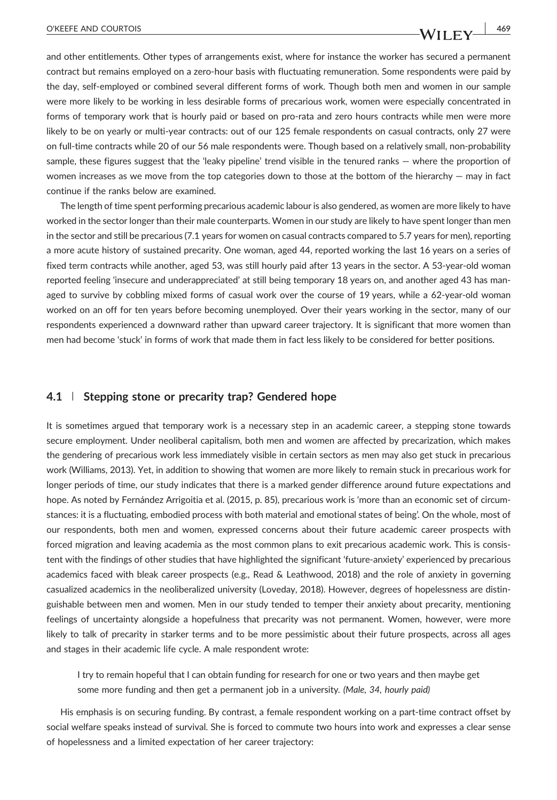and other entitlements. Other types of arrangements exist, where for instance the worker has secured a permanent contract but remains employed on a zero‐hour basis with fluctuating remuneration. Some respondents were paid by the day, self‐employed or combined several different forms of work. Though both men and women in our sample were more likely to be working in less desirable forms of precarious work, women were especially concentrated in forms of temporary work that is hourly paid or based on pro‐rata and zero hours contracts while men were more likely to be on yearly or multi-year contracts: out of our 125 female respondents on casual contracts, only 27 were on full-time contracts while 20 of our 56 male respondents were. Though based on a relatively small, non-probability sample, these figures suggest that the 'leaky pipeline' trend visible in the tenured ranks – where the proportion of women increases as we move from the top categories down to those at the bottom of the hierarchy — may in fact continue if the ranks below are examined.

The length of time spent performing precarious academic labour is also gendered, as women are more likely to have worked in the sector longer than their male counterparts. Women in our study are likely to have spent longer than men in the sector and still be precarious (7.1 years for women on casual contracts compared to 5.7 years for men), reporting a more acute history of sustained precarity. One woman, aged 44, reported working the last 16 years on a series of fixed term contracts while another, aged 53, was still hourly paid after 13 years in the sector. A 53-year-old woman reported feeling 'insecure and underappreciated' at still being temporary 18 years on, and another aged 43 has managed to survive by cobbling mixed forms of casual work over the course of 19 years, while a 62‐year‐old woman worked on an off for ten years before becoming unemployed. Over their years working in the sector, many of our respondents experienced a downward rather than upward career trajectory. It is significant that more women than men had become 'stuck' in forms of work that made them in fact less likely to be considered for better positions.

#### 4.1 Stepping stone or precarity trap? Gendered hope

It is sometimes argued that temporary work is a necessary step in an academic career, a stepping stone towards secure employment. Under neoliberal capitalism, both men and women are affected by precarization, which makes the gendering of precarious work less immediately visible in certain sectors as men may also get stuck in precarious work (Williams, 2013). Yet, in addition to showing that women are more likely to remain stuck in precarious work for longer periods of time, our study indicates that there is a marked gender difference around future expectations and hope. As noted by Fernández Arrigoitia et al. (2015, p. 85), precarious work is 'more than an economic set of circumstances: it is a fluctuating, embodied process with both material and emotional states of being'. On the whole, most of our respondents, both men and women, expressed concerns about their future academic career prospects with forced migration and leaving academia as the most common plans to exit precarious academic work. This is consistent with the findings of other studies that have highlighted the significant 'future-anxiety' experienced by precarious academics faced with bleak career prospects (e.g., Read & Leathwood, 2018) and the role of anxiety in governing casualized academics in the neoliberalized university (Loveday, 2018). However, degrees of hopelessness are distinguishable between men and women. Men in our study tended to temper their anxiety about precarity, mentioning feelings of uncertainty alongside a hopefulness that precarity was not permanent. Women, however, were more likely to talk of precarity in starker terms and to be more pessimistic about their future prospects, across all ages and stages in their academic life cycle. A male respondent wrote:

I try to remain hopeful that I can obtain funding for research for one or two years and then maybe get some more funding and then get a permanent job in a university. (Male, 34, hourly paid)

His emphasis is on securing funding. By contrast, a female respondent working on a part‐time contract offset by social welfare speaks instead of survival. She is forced to commute two hours into work and expresses a clear sense of hopelessness and a limited expectation of her career trajectory: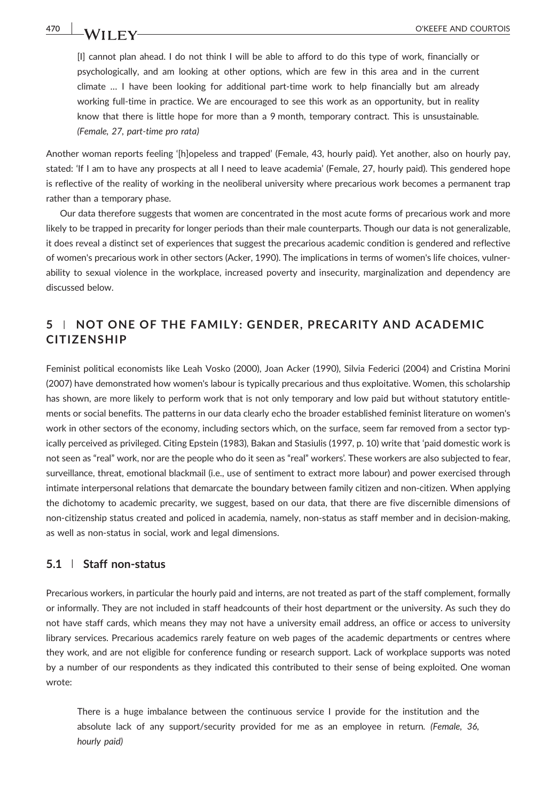[I] cannot plan ahead. I do not think I will be able to afford to do this type of work, financially or psychologically, and am looking at other options, which are few in this area and in the current climate ... I have been looking for additional part-time work to help financially but am already working full-time in practice. We are encouraged to see this work as an opportunity, but in reality know that there is little hope for more than a 9 month, temporary contract. This is unsustainable. (Female, 27, part‐time pro rata)

Another woman reports feeling '[h]opeless and trapped' (Female, 43, hourly paid). Yet another, also on hourly pay, stated: 'If I am to have any prospects at all I need to leave academia' (Female, 27, hourly paid). This gendered hope is reflective of the reality of working in the neoliberal university where precarious work becomes a permanent trap rather than a temporary phase.

Our data therefore suggests that women are concentrated in the most acute forms of precarious work and more likely to be trapped in precarity for longer periods than their male counterparts. Though our data is not generalizable, it does reveal a distinct set of experiences that suggest the precarious academic condition is gendered and reflective of women's precarious work in other sectors (Acker, 1990). The implications in terms of women's life choices, vulnerability to sexual violence in the workplace, increased poverty and insecurity, marginalization and dependency are discussed below.

# 5 | NOT ONE OF THE FAMILY: GENDER, PRECARITY AND ACADEMIC CITIZENSHIP

Feminist political economists like Leah Vosko (2000), Joan Acker (1990), Silvia Federici (2004) and Cristina Morini (2007) have demonstrated how women's labour is typically precarious and thus exploitative. Women, this scholarship has shown, are more likely to perform work that is not only temporary and low paid but without statutory entitlements or social benefits. The patterns in our data clearly echo the broader established feminist literature on women's work in other sectors of the economy, including sectors which, on the surface, seem far removed from a sector typically perceived as privileged. Citing Epstein (1983), Bakan and Stasiulis (1997, p. 10) write that 'paid domestic work is not seen as "real" work, nor are the people who do it seen as "real" workers'. These workers are also subjected to fear, surveillance, threat, emotional blackmail (i.e., use of sentiment to extract more labour) and power exercised through intimate interpersonal relations that demarcate the boundary between family citizen and non‐citizen. When applying the dichotomy to academic precarity, we suggest, based on our data, that there are five discernible dimensions of non-citizenship status created and policed in academia, namely, non-status as staff member and in decision-making, as well as non‐status in social, work and legal dimensions.

#### 5.1 | Staff non‐status

Precarious workers, in particular the hourly paid and interns, are not treated as part of the staff complement, formally or informally. They are not included in staff headcounts of their host department or the university. As such they do not have staff cards, which means they may not have a university email address, an office or access to university library services. Precarious academics rarely feature on web pages of the academic departments or centres where they work, and are not eligible for conference funding or research support. Lack of workplace supports was noted by a number of our respondents as they indicated this contributed to their sense of being exploited. One woman wrote:

There is a huge imbalance between the continuous service I provide for the institution and the absolute lack of any support/security provided for me as an employee in return. (Female, 36, hourly paid)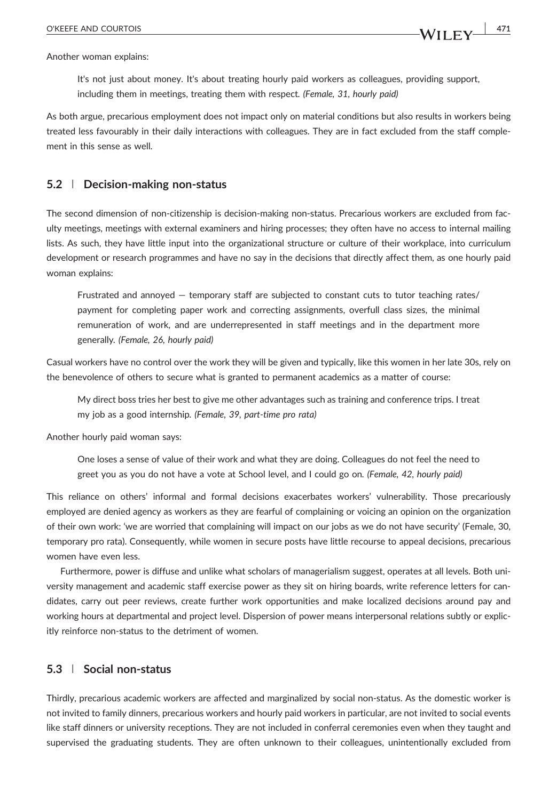Another woman explains:

It's not just about money. It's about treating hourly paid workers as colleagues, providing support, including them in meetings, treating them with respect. (Female, 31, hourly paid)

As both argue, precarious employment does not impact only on material conditions but also results in workers being treated less favourably in their daily interactions with colleagues. They are in fact excluded from the staff complement in this sense as well.

#### 5.2 | Decision‐making non‐status

The second dimension of non-citizenship is decision-making non-status. Precarious workers are excluded from faculty meetings, meetings with external examiners and hiring processes; they often have no access to internal mailing lists. As such, they have little input into the organizational structure or culture of their workplace, into curriculum development or research programmes and have no say in the decisions that directly affect them, as one hourly paid woman explains:

Frustrated and annoyed — temporary staff are subjected to constant cuts to tutor teaching rates/ payment for completing paper work and correcting assignments, overfull class sizes, the minimal remuneration of work, and are underrepresented in staff meetings and in the department more generally. (Female, 26, hourly paid)

Casual workers have no control over the work they will be given and typically, like this women in her late 30s, rely on the benevolence of others to secure what is granted to permanent academics as a matter of course:

My direct boss tries her best to give me other advantages such as training and conference trips. I treat my job as a good internship. (Female, 39, part‐time pro rata)

Another hourly paid woman says:

One loses a sense of value of their work and what they are doing. Colleagues do not feel the need to greet you as you do not have a vote at School level, and I could go on. (Female, 42, hourly paid)

This reliance on others' informal and formal decisions exacerbates workers' vulnerability. Those precariously employed are denied agency as workers as they are fearful of complaining or voicing an opinion on the organization of their own work: 'we are worried that complaining will impact on our jobs as we do not have security' (Female, 30, temporary pro rata). Consequently, while women in secure posts have little recourse to appeal decisions, precarious women have even less.

Furthermore, power is diffuse and unlike what scholars of managerialism suggest, operates at all levels. Both university management and academic staff exercise power as they sit on hiring boards, write reference letters for candidates, carry out peer reviews, create further work opportunities and make localized decisions around pay and working hours at departmental and project level. Dispersion of power means interpersonal relations subtly or explicitly reinforce non‐status to the detriment of women.

### 5.3 | Social non‐status

Thirdly, precarious academic workers are affected and marginalized by social non‐status. As the domestic worker is not invited to family dinners, precarious workers and hourly paid workers in particular, are not invited to social events like staff dinners or university receptions. They are not included in conferral ceremonies even when they taught and supervised the graduating students. They are often unknown to their colleagues, unintentionally excluded from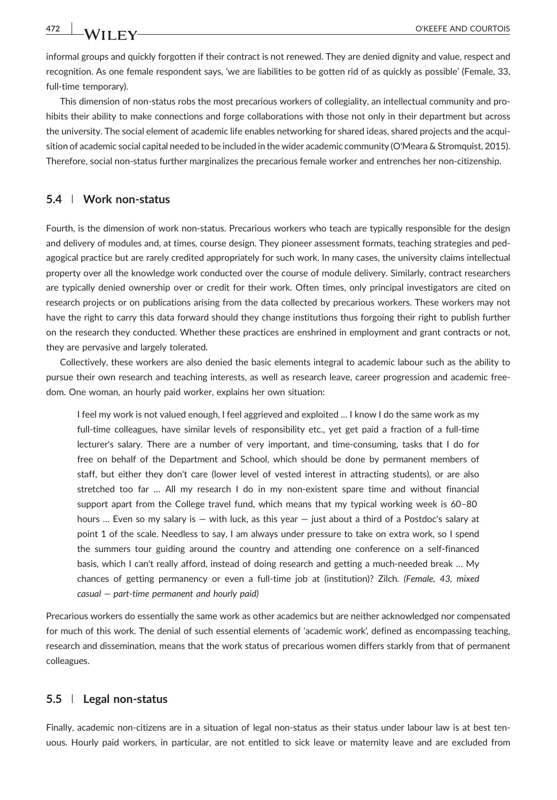informal groups and quickly forgotten if their contract is not renewed. They are denied dignity and value, respect and recognition. As one female respondent says, 'we are liabilities to be gotten rid of as quickly as possible' (Female, 33, full-time temporary).

This dimension of non‐status robs the most precarious workers of collegiality, an intellectual community and prohibits their ability to make connections and forge collaborations with those not only in their department but across the university. The social element of academic life enables networking for shared ideas, shared projects and the acquisition of academic social capital needed to be included in the wider academic community (O'Meara & Stromquist, 2015). Therefore, social non‐status further marginalizes the precarious female worker and entrenches her non‐citizenship.

#### 5.4 | Work non‐status

Fourth, is the dimension of work non‐status. Precarious workers who teach are typically responsible for the design and delivery of modules and, at times, course design. They pioneer assessment formats, teaching strategies and pedagogical practice but are rarely credited appropriately for such work. In many cases, the university claims intellectual property over all the knowledge work conducted over the course of module delivery. Similarly, contract researchers are typically denied ownership over or credit for their work. Often times, only principal investigators are cited on research projects or on publications arising from the data collected by precarious workers. These workers may not have the right to carry this data forward should they change institutions thus forgoing their right to publish further on the research they conducted. Whether these practices are enshrined in employment and grant contracts or not, they are pervasive and largely tolerated.

Collectively, these workers are also denied the basic elements integral to academic labour such as the ability to pursue their own research and teaching interests, as well as research leave, career progression and academic freedom. One woman, an hourly paid worker, explains her own situation:

I feel my work is not valued enough, I feel aggrieved and exploited … I know I do the same work as my full-time colleagues, have similar levels of responsibility etc., yet get paid a fraction of a full-time lecturer's salary. There are a number of very important, and time‐consuming, tasks that I do for free on behalf of the Department and School, which should be done by permanent members of staff, but either they don't care (lower level of vested interest in attracting students), or are also stretched too far ... All my research I do in my non-existent spare time and without financial support apart from the College travel fund, which means that my typical working week is 60–80 hours … Even so my salary is — with luck, as this year — just about a third of a Postdoc's salary at point 1 of the scale. Needless to say, I am always under pressure to take on extra work, so I spend the summers tour guiding around the country and attending one conference on a self-financed basis, which I can't really afford, instead of doing research and getting a much-needed break ... My chances of getting permanency or even a full‐time job at (institution)? Zilch. (Female, 43, mixed  $casual - part-time permanent and hourly paid)$ 

Precarious workers do essentially the same work as other academics but are neither acknowledged nor compensated for much of this work. The denial of such essential elements of 'academic work', defined as encompassing teaching, research and dissemination, means that the work status of precarious women differs starkly from that of permanent colleagues.

#### 5.5 | Legal non‐status

Finally, academic non-citizens are in a situation of legal non-status as their status under labour law is at best tenuous. Hourly paid workers, in particular, are not entitled to sick leave or maternity leave and are excluded from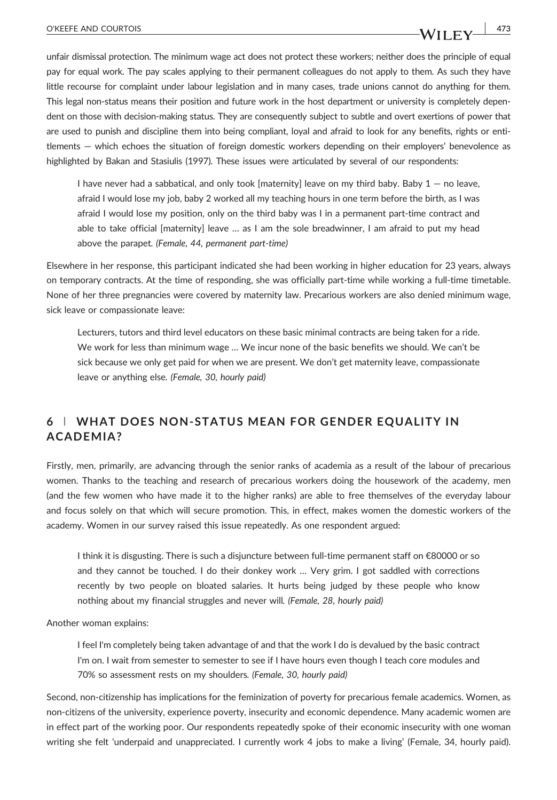unfair dismissal protection. The minimum wage act does not protect these workers; neither does the principle of equal pay for equal work. The pay scales applying to their permanent colleagues do not apply to them. As such they have little recourse for complaint under labour legislation and in many cases, trade unions cannot do anything for them. This legal non-status means their position and future work in the host department or university is completely dependent on those with decision-making status. They are consequently subject to subtle and overt exertions of power that are used to punish and discipline them into being compliant, loyal and afraid to look for any benefits, rights or entitlements — which echoes the situation of foreign domestic workers depending on their employers' benevolence as highlighted by Bakan and Stasiulis (1997). These issues were articulated by several of our respondents:

I have never had a sabbatical, and only took [maternity] leave on my third baby. Baby  $1 -$  no leave, afraid I would lose my job, baby 2 worked all my teaching hours in one term before the birth, as I was afraid I would lose my position, only on the third baby was I in a permanent part‐time contract and able to take official [maternity] leave … as I am the sole breadwinner, I am afraid to put my head above the parapet. (Female, 44, permanent part‐time)

Elsewhere in her response, this participant indicated she had been working in higher education for 23 years, always on temporary contracts. At the time of responding, she was officially part-time while working a full-time timetable. None of her three pregnancies were covered by maternity law. Precarious workers are also denied minimum wage, sick leave or compassionate leave:

Lecturers, tutors and third level educators on these basic minimal contracts are being taken for a ride. We work for less than minimum wage … We incur none of the basic benefits we should. We can't be sick because we only get paid for when we are present. We don't get maternity leave, compassionate leave or anything else. (Female, 30, hourly paid)

# 6 | WHAT DOES NON‐STATUS MEAN FOR GENDER EQUALITY IN ACADEMIA?

Firstly, men, primarily, are advancing through the senior ranks of academia as a result of the labour of precarious women. Thanks to the teaching and research of precarious workers doing the housework of the academy, men (and the few women who have made it to the higher ranks) are able to free themselves of the everyday labour and focus solely on that which will secure promotion. This, in effect, makes women the domestic workers of the academy. Women in our survey raised this issue repeatedly. As one respondent argued:

I think it is disgusting. There is such a disjuncture between full‐time permanent staff on €80000 or so and they cannot be touched. I do their donkey work … Very grim. I got saddled with corrections recently by two people on bloated salaries. It hurts being judged by these people who know nothing about my financial struggles and never will. (Female, 28, hourly paid)

Another woman explains:

I feel I'm completely being taken advantage of and that the work I do is devalued by the basic contract I'm on. I wait from semester to semester to see if I have hours even though I teach core modules and 70% so assessment rests on my shoulders. (Female, 30, hourly paid)

Second, non-citizenship has implications for the feminization of poverty for precarious female academics. Women, as non‐citizens of the university, experience poverty, insecurity and economic dependence. Many academic women are in effect part of the working poor. Our respondents repeatedly spoke of their economic insecurity with one woman writing she felt 'underpaid and unappreciated. I currently work 4 jobs to make a living' (Female, 34, hourly paid).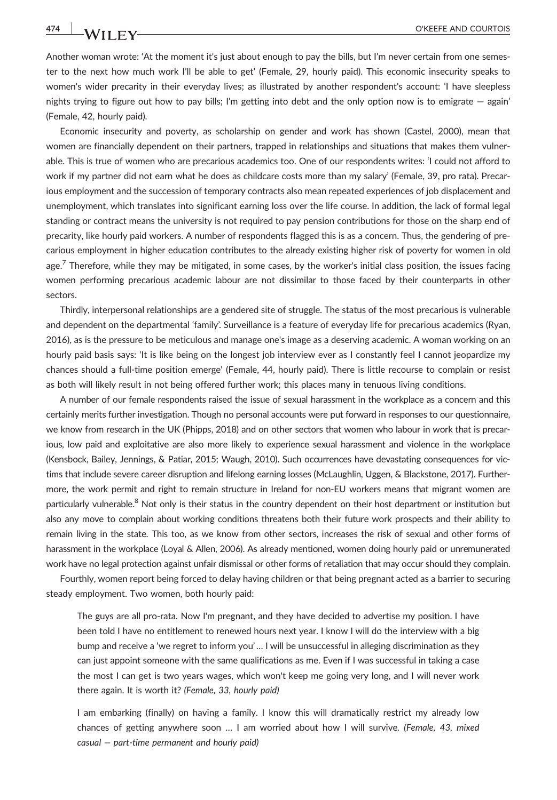Another woman wrote: 'At the moment it's just about enough to pay the bills, but I'm never certain from one semester to the next how much work I'll be able to get' (Female, 29, hourly paid). This economic insecurity speaks to women's wider precarity in their everyday lives; as illustrated by another respondent's account: 'I have sleepless nights trying to figure out how to pay bills; I'm getting into debt and the only option now is to emigrate — again' (Female, 42, hourly paid).

Economic insecurity and poverty, as scholarship on gender and work has shown (Castel, 2000), mean that women are financially dependent on their partners, trapped in relationships and situations that makes them vulnerable. This is true of women who are precarious academics too. One of our respondents writes: 'I could not afford to work if my partner did not earn what he does as childcare costs more than my salary' (Female, 39, pro rata). Precarious employment and the succession of temporary contracts also mean repeated experiences of job displacement and unemployment, which translates into significant earning loss over the life course. In addition, the lack of formal legal standing or contract means the university is not required to pay pension contributions for those on the sharp end of precarity, like hourly paid workers. A number of respondents flagged this is as a concern. Thus, the gendering of precarious employment in higher education contributes to the already existing higher risk of poverty for women in old age.<sup>7</sup> Therefore, while they may be mitigated, in some cases, by the worker's initial class position, the issues facing women performing precarious academic labour are not dissimilar to those faced by their counterparts in other sectors.

Thirdly, interpersonal relationships are a gendered site of struggle. The status of the most precarious is vulnerable and dependent on the departmental 'family'. Surveillance is a feature of everyday life for precarious academics (Ryan, 2016), as is the pressure to be meticulous and manage one's image as a deserving academic. A woman working on an hourly paid basis says: 'It is like being on the longest job interview ever as I constantly feel I cannot jeopardize my chances should a full‐time position emerge' (Female, 44, hourly paid). There is little recourse to complain or resist as both will likely result in not being offered further work; this places many in tenuous living conditions.

A number of our female respondents raised the issue of sexual harassment in the workplace as a concern and this certainly merits further investigation. Though no personal accounts were put forward in responses to our questionnaire, we know from research in the UK (Phipps, 2018) and on other sectors that women who labour in work that is precarious, low paid and exploitative are also more likely to experience sexual harassment and violence in the workplace (Kensbock, Bailey, Jennings, & Patiar, 2015; Waugh, 2010). Such occurrences have devastating consequences for victims that include severe career disruption and lifelong earning losses (McLaughlin, Uggen, & Blackstone, 2017). Furthermore, the work permit and right to remain structure in Ireland for non‐EU workers means that migrant women are particularly vulnerable.<sup>8</sup> Not only is their status in the country dependent on their host department or institution but also any move to complain about working conditions threatens both their future work prospects and their ability to remain living in the state. This too, as we know from other sectors, increases the risk of sexual and other forms of harassment in the workplace (Loyal & Allen, 2006). As already mentioned, women doing hourly paid or unremunerated work have no legal protection against unfair dismissal or other forms of retaliation that may occur should they complain.

Fourthly, women report being forced to delay having children or that being pregnant acted as a barrier to securing steady employment. Two women, both hourly paid:

The guys are all pro-rata. Now I'm pregnant, and they have decided to advertise my position. I have been told I have no entitlement to renewed hours next year. I know I will do the interview with a big bump and receive a 'we regret to inform you' … I will be unsuccessful in alleging discrimination as they can just appoint someone with the same qualifications as me. Even if I was successful in taking a case the most I can get is two years wages, which won't keep me going very long, and I will never work there again. It is worth it? (Female, 33, hourly paid)

I am embarking (finally) on having a family. I know this will dramatically restrict my already low chances of getting anywhere soon … I am worried about how I will survive. (Female, 43, mixed casual — part‐time permanent and hourly paid)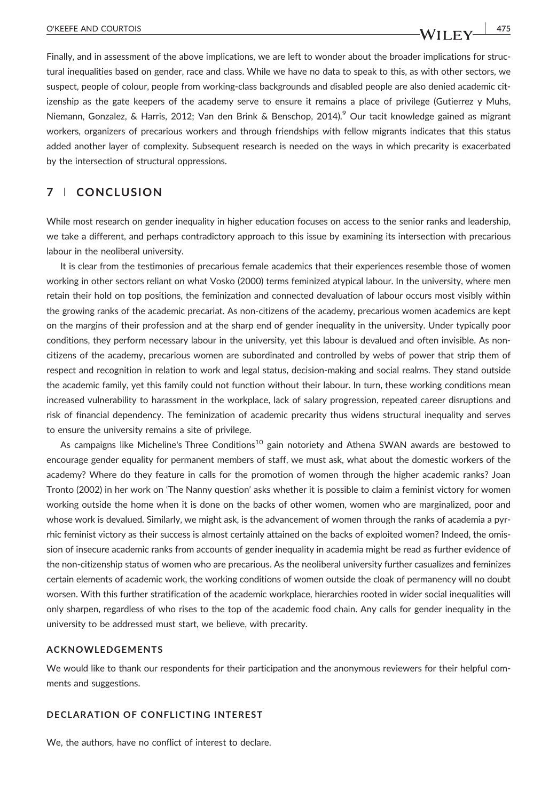Finally, and in assessment of the above implications, we are left to wonder about the broader implications for structural inequalities based on gender, race and class. While we have no data to speak to this, as with other sectors, we suspect, people of colour, people from working-class backgrounds and disabled people are also denied academic citizenship as the gate keepers of the academy serve to ensure it remains a place of privilege (Gutierrez y Muhs, Niemann, Gonzalez, & Harris, 2012; Van den Brink & Benschop, 2014).<sup>9</sup> Our tacit knowledge gained as migrant workers, organizers of precarious workers and through friendships with fellow migrants indicates that this status added another layer of complexity. Subsequent research is needed on the ways in which precarity is exacerbated

### 7 | CONCLUSION

by the intersection of structural oppressions.

While most research on gender inequality in higher education focuses on access to the senior ranks and leadership, we take a different, and perhaps contradictory approach to this issue by examining its intersection with precarious labour in the neoliberal university.

It is clear from the testimonies of precarious female academics that their experiences resemble those of women working in other sectors reliant on what Vosko (2000) terms feminized atypical labour. In the university, where men retain their hold on top positions, the feminization and connected devaluation of labour occurs most visibly within the growing ranks of the academic precariat. As non‐citizens of the academy, precarious women academics are kept on the margins of their profession and at the sharp end of gender inequality in the university. Under typically poor conditions, they perform necessary labour in the university, yet this labour is devalued and often invisible. As noncitizens of the academy, precarious women are subordinated and controlled by webs of power that strip them of respect and recognition in relation to work and legal status, decision-making and social realms. They stand outside the academic family, yet this family could not function without their labour. In turn, these working conditions mean increased vulnerability to harassment in the workplace, lack of salary progression, repeated career disruptions and risk of financial dependency. The feminization of academic precarity thus widens structural inequality and serves to ensure the university remains a site of privilege.

As campaigns like Micheline's Three Conditions<sup>10</sup> gain notoriety and Athena SWAN awards are bestowed to encourage gender equality for permanent members of staff, we must ask, what about the domestic workers of the academy? Where do they feature in calls for the promotion of women through the higher academic ranks? Joan Tronto (2002) in her work on 'The Nanny question' asks whether it is possible to claim a feminist victory for women working outside the home when it is done on the backs of other women, women who are marginalized, poor and whose work is devalued. Similarly, we might ask, is the advancement of women through the ranks of academia a pyrrhic feminist victory as their success is almost certainly attained on the backs of exploited women? Indeed, the omission of insecure academic ranks from accounts of gender inequality in academia might be read as further evidence of the non-citizenship status of women who are precarious. As the neoliberal university further casualizes and feminizes certain elements of academic work, the working conditions of women outside the cloak of permanency will no doubt worsen. With this further stratification of the academic workplace, hierarchies rooted in wider social inequalities will only sharpen, regardless of who rises to the top of the academic food chain. Any calls for gender inequality in the university to be addressed must start, we believe, with precarity.

#### ACKNOWLEDGEMENTS

We would like to thank our respondents for their participation and the anonymous reviewers for their helpful comments and suggestions.

#### DECLARATION OF CONFLICTING INTEREST

We, the authors, have no conflict of interest to declare.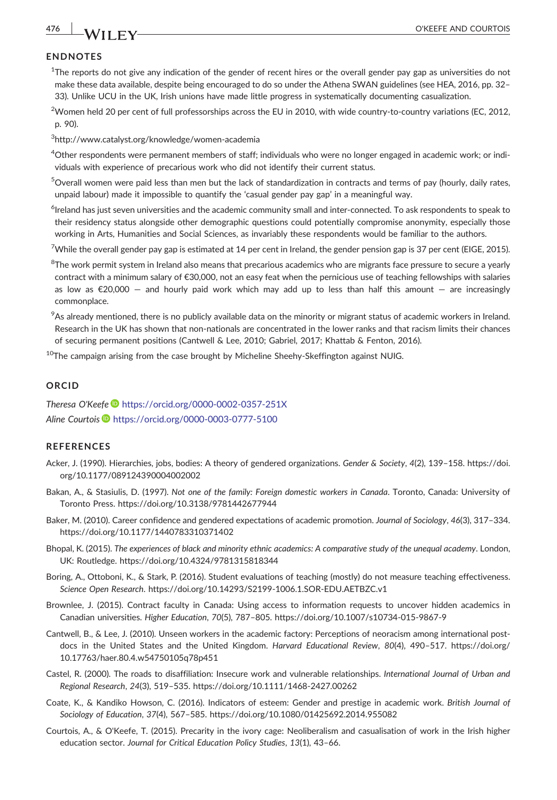# ENDNOTES

<sup>1</sup>The reports do not give any indication of the gender of recent hires or the overall gender pay gap as universities do not make these data available, despite being encouraged to do so under the Athena SWAN guidelines (see HEA, 2016, pp. 32– 33). Unlike UCU in the UK, Irish unions have made little progress in systematically documenting casualization.

 $^2$ Women held 20 per cent of full professorships across the EU in 2010, with wide country-to-country variations (EC, 2012, p. 90).

3 [http://www.catalyst.org/knowledge/women](http://www.catalyst.org/knowledge/women-academia)‐academia

4 Other respondents were permanent members of staff; individuals who were no longer engaged in academic work; or individuals with experience of precarious work who did not identify their current status.

<sup>5</sup>Overall women were paid less than men but the lack of standardization in contracts and terms of pay (hourly, daily rates, unpaid labour) made it impossible to quantify the 'casual gender pay gap' in a meaningful way.

<sup>6</sup>Ireland has just seven universities and the academic community small and inter-connected. To ask respondents to speak to their residency status alongside other demographic questions could potentially compromise anonymity, especially those working in Arts, Humanities and Social Sciences, as invariably these respondents would be familiar to the authors.

 $^7$ While the overall gender pay gap is estimated at 14 per cent in Ireland, the gender pension gap is 37 per cent (EIGE, 2015).

 $^8$ The work permit system in Ireland also means that precarious academics who are migrants face pressure to secure a yearly contract with a minimum salary of €30,000, not an easy feat when the pernicious use of teaching fellowships with salaries as low as  $\epsilon$ 20,000 – and hourly paid work which may add up to less than half this amount – are increasingly commonplace.

<sup>9</sup>As already mentioned, there is no publicly available data on the minority or migrant status of academic workers in Ireland. Research in the UK has shown that non‐nationals are concentrated in the lower ranks and that racism limits their chances of securing permanent positions (Cantwell & Lee, 2010; Gabriel, 2017; Khattab & Fenton, 2016).

<sup>10</sup>The campaign arising from the case brought by Micheline Sheehy-Skeffington against NUIG.

#### ORCID

Theresa O'Keefe <https://orcid.org/0000-0002-0357-251X> Aline Courtois <https://orcid.org/0000-0003-0777-5100>

#### **REFERENCES**

- Acker, J. (1990). Hierarchies, jobs, bodies: A theory of gendered organizations. Gender & Society, 4(2), 139–158. [https://doi.](https://doi.org/10.1177/089124390004002002) [org/10.1177/089124390004002002](https://doi.org/10.1177/089124390004002002)
- Bakan, A., & Stasiulis, D. (1997). Not one of the family: Foreign domestic workers in Canada. Toronto, Canada: University of Toronto Press.<https://doi.org/10.3138/9781442677944>
- Baker, M. (2010). Career confidence and gendered expectations of academic promotion. Journal of Sociology, 46(3), 317–334. <https://doi.org/10.1177/1440783310371402>
- Bhopal, K. (2015). The experiences of black and minority ethnic academics: A comparative study of the unequal academy. London, UK: Routledge.<https://doi.org/10.4324/9781315818344>
- Boring, A., Ottoboni, K., & Stark, P. (2016). Student evaluations of teaching (mostly) do not measure teaching effectiveness. Science Open Research. [https://doi.org/10.14293/S2199](https://doi.org/10.14293/S2199-1006.1.SOR-EDU.AETBZC.v1)‐1006.1.SOR‐EDU.AETBZC.v1
- Brownlee, J. (2015). Contract faculty in Canada: Using access to information requests to uncover hidden academics in Canadian universities. Higher Education, 70(5), 787–805. [https://doi.org/10.1007/s10734](https://doi.org/10.1007/s10734-015-9867-9)‐015‐9867‐9
- Cantwell, B., & Lee, J. (2010). Unseen workers in the academic factory: Perceptions of neoracism among international postdocs in the United States and the United Kingdom. Harvard Educational Review, 80(4), 490–517. [https://doi.org/](https://doi.org/10.17763/haer.80.4.w54750105q78p451) [10.17763/haer.80.4.w54750105q78p451](https://doi.org/10.17763/haer.80.4.w54750105q78p451)
- Castel, R. (2000). The roads to disaffiliation: Insecure work and vulnerable relationships. International Journal of Urban and Regional Research, 24(3), 519–535. [https://doi.org/10.1111/1468](https://doi.org/10.1111/1468-2427.00262)‐2427.00262
- Coate, K., & Kandiko Howson, C. (2016). Indicators of esteem: Gender and prestige in academic work. British Journal of Sociology of Education, 37(4), 567–585.<https://doi.org/10.1080/01425692.2014.955082>
- Courtois, A., & O'Keefe, T. (2015). Precarity in the ivory cage: Neoliberalism and casualisation of work in the Irish higher education sector. Journal for Critical Education Policy Studies, 13(1), 43–66.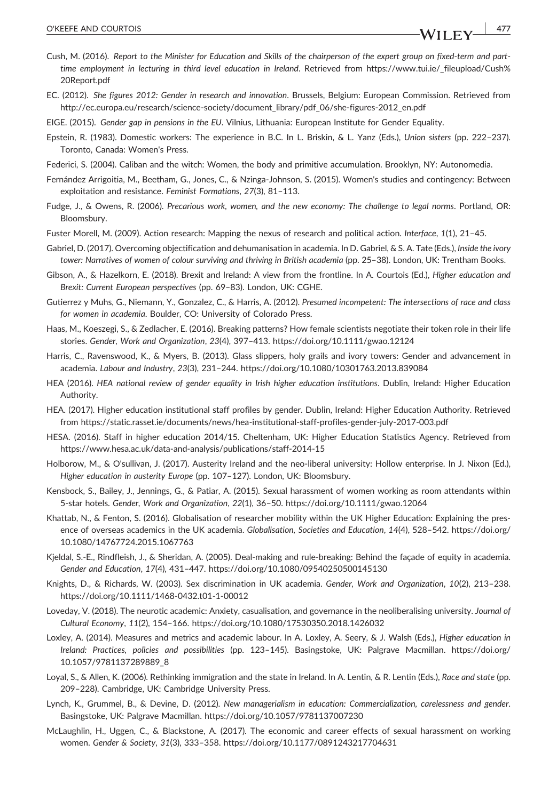- Cush, M. (2016). Report to the Minister for Education and Skills of the chairperson of the expert group on fixed‐term and part‐ time employment in lecturing in third level education in Ireland. Retrieved from [https://www.tui.ie/\\_fileupload/Cush%](https://www.tui.ie/_fileupload/Cush%20Report.pdf) [20Report.pdf](https://www.tui.ie/_fileupload/Cush%20Report.pdf)
- EC. (2012). She figures 2012: Gender in research and innovation. Brussels, Belgium: European Commission. Retrieved from http://ec.europa.eu/research/science‐[society/document\\_library/pdf\\_06/she](http://ec.europa.eu/research/science-society/document_library/pdf_06/she-figures-2012_en.pdf)‐figures‐2012\_en.pdf
- EIGE. (2015). Gender gap in pensions in the EU. Vilnius, Lithuania: European Institute for Gender Equality.
- Epstein, R. (1983). Domestic workers: The experience in B.C. In L. Briskin, & L. Yanz (Eds.), Union sisters (pp. 222–237). Toronto, Canada: Women's Press.
- Federici, S. (2004). Caliban and the witch: Women, the body and primitive accumulation. Brooklyn, NY: Autonomedia.
- Fernández Arrigoitia, M., Beetham, G., Jones, C., & Nzinga‐Johnson, S. (2015). Women's studies and contingency: Between exploitation and resistance. Feminist Formations, 27(3), 81–113.
- Fudge, J., & Owens, R. (2006). Precarious work, women, and the new economy: The challenge to legal norms. Portland, OR: Bloomsbury.
- Fuster Morell, M. (2009). Action research: Mapping the nexus of research and political action. Interface, 1(1), 21–45.
- Gabriel, D. (2017). Overcoming objectification and dehumanisation in academia. In D. Gabriel, & S. A. Tate (Eds.), Inside the ivory tower: Narratives of women of colour surviving and thriving in British academia (pp. 25–38). London, UK: Trentham Books.
- Gibson, A., & Hazelkorn, E. (2018). Brexit and Ireland: A view from the frontline. In A. Courtois (Ed.), Higher education and Brexit: Current European perspectives (pp. 69–83). London, UK: CGHE.
- Gutierrez y Muhs, G., Niemann, Y., Gonzalez, C., & Harris, A. (2012). Presumed incompetent: The intersections of race and class for women in academia. Boulder, CO: University of Colorado Press.
- Haas, M., Koeszegi, S., & Zedlacher, E. (2016). Breaking patterns? How female scientists negotiate their token role in their life stories. Gender, Work and Organization, 23(4), 397–413.<https://doi.org/10.1111/gwao.12124>
- Harris, C., Ravenswood, K., & Myers, B. (2013). Glass slippers, holy grails and ivory towers: Gender and advancement in academia. Labour and Industry, 23(3), 231–244.<https://doi.org/10.1080/10301763.2013.839084>
- HEA (2016). HEA national review of gender equality in Irish higher education institutions. Dublin, Ireland: Higher Education Authority.
- HEA. (2017). Higher education institutional staff profiles by gender. Dublin, Ireland: Higher Education Authority. Retrieved from [https://static.rasset.ie/documents/news/hea](https://static.rasset.ie/documents/news/hea-institutional-staff-profiles-gender-july-2017-003.pdf)‐institutional‐staff‐profiles‐gender‐july‐2017‐003.pdf
- HESA. (2016). Staff in higher education 2014/15. Cheltenham, UK: Higher Education Statistics Agency. Retrieved from [https://www.hesa.ac.uk/data](https://www.hesa.ac.uk/data-and-analysis/publications/staff-2014-15)‐and‐analysis/publications/staff‐2014‐15
- Holborow, M., & O'sullivan, J. (2017). Austerity Ireland and the neo‐liberal university: Hollow enterprise. In J. Nixon (Ed.), Higher education in austerity Europe (pp. 107–127). London, UK: Bloomsbury.
- Kensbock, S., Bailey, J., Jennings, G., & Patiar, A. (2015). Sexual harassment of women working as room attendants within 5‐star hotels. Gender, Work and Organization, 22(1), 36–50.<https://doi.org/10.1111/gwao.12064>
- Khattab, N., & Fenton, S. (2016). Globalisation of researcher mobility within the UK Higher Education: Explaining the presence of overseas academics in the UK academia. Globalisation, Societies and Education, 14(4), 528–542. [https://doi.org/](https://doi.org/10.1080/14767724.2015.1067763) [10.1080/14767724.2015.1067763](https://doi.org/10.1080/14767724.2015.1067763)
- Kjeldal, S.‐E., Rindfleish, J., & Sheridan, A. (2005). Deal‐making and rule‐breaking: Behind the façade of equity in academia. Gender and Education, 17(4), 431–447.<https://doi.org/10.1080/09540250500145130>
- Knights, D., & Richards, W. (2003). Sex discrimination in UK academia. Gender, Work and Organization, 10(2), 213–238. [https://doi.org/10.1111/1468](https://doi.org/10.1111/1468-0432.t01-1-00012)‐0432.t01‐1‐00012
- Loveday, V. (2018). The neurotic academic: Anxiety, casualisation, and governance in the neoliberalising university. Journal of Cultural Economy, 11(2), 154–166.<https://doi.org/10.1080/17530350.2018.1426032>
- Loxley, A. (2014). Measures and metrics and academic labour. In A. Loxley, A. Seery, & J. Walsh (Eds.), Higher education in Ireland: Practices, policies and possibilities (pp. 123–145). Basingstoke, UK: Palgrave Macmillan. [https://doi.org/](https://doi.org/10.1057/9781137289889_8) [10.1057/9781137289889\\_8](https://doi.org/10.1057/9781137289889_8)
- Loyal, S., & Allen, K. (2006). Rethinking immigration and the state in Ireland. In A. Lentin, & R. Lentin (Eds.), Race and state (pp. 209–228). Cambridge, UK: Cambridge University Press.
- Lynch, K., Grummel, B., & Devine, D. (2012). New managerialism in education: Commercialization, carelessness and gender. Basingstoke, UK: Palgrave Macmillan.<https://doi.org/10.1057/9781137007230>
- McLaughlin, H., Uggen, C., & Blackstone, A. (2017). The economic and career effects of sexual harassment on working women. Gender & Society, 31(3), 333–358.<https://doi.org/10.1177/0891243217704631>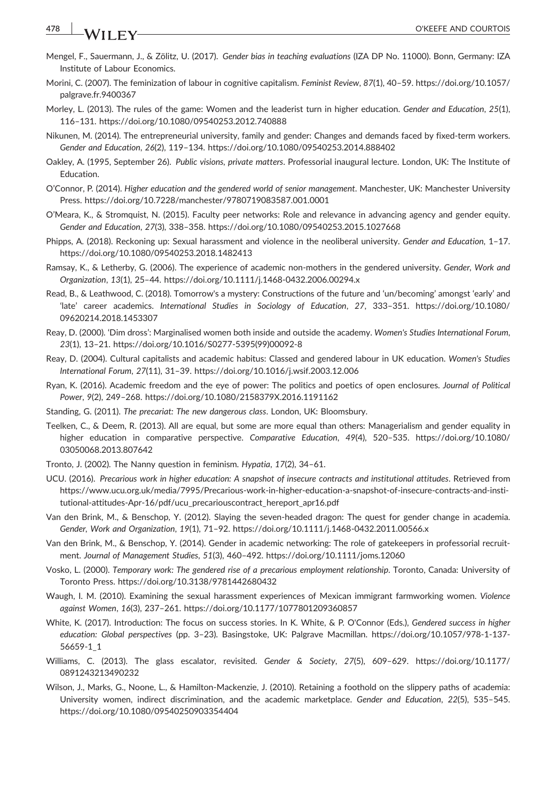# 478 **WII FV WII COURTOIS**

- Mengel, F., Sauermann, J., & Zölitz, U. (2017). Gender bias in teaching evaluations (IZA DP No. 11000). Bonn, Germany: IZA Institute of Labour Economics.
- Morini, C. (2007). The feminization of labour in cognitive capitalism. Feminist Review, 87(1), 40–59. [https://doi.org/10.1057/](https://doi.org/10.1057/palgrave.fr.9400367) [palgrave.fr.9400367](https://doi.org/10.1057/palgrave.fr.9400367)
- Morley, L. (2013). The rules of the game: Women and the leaderist turn in higher education. Gender and Education, 25(1), 116–131.<https://doi.org/10.1080/09540253.2012.740888>
- Nikunen, M. (2014). The entrepreneurial university, family and gender: Changes and demands faced by fixed‐term workers. Gender and Education, 26(2), 119–134.<https://doi.org/10.1080/09540253.2014.888402>
- Oakley, A. (1995, September 26). Public visions, private matters. Professorial inaugural lecture. London, UK: The Institute of Education.
- O'Connor, P. (2014). Higher education and the gendered world of senior management. Manchester, UK: Manchester University Press.<https://doi.org/10.7228/manchester/9780719083587.001.0001>
- O'Meara, K., & Stromquist, N. (2015). Faculty peer networks: Role and relevance in advancing agency and gender equity. Gender and Education, 27(3), 338–358.<https://doi.org/10.1080/09540253.2015.1027668>
- Phipps, A. (2018). Reckoning up: Sexual harassment and violence in the neoliberal university. Gender and Education, 1–17. <https://doi.org/10.1080/09540253.2018.1482413>
- Ramsay, K., & Letherby, G. (2006). The experience of academic non-mothers in the gendered university. Gender, Work and Organization, 13(1), 25–44. [https://doi.org/10.1111/j.1468](https://doi.org/10.1111/j.1468-0432.2006.00294.x)‐0432.2006.00294.x
- Read, B., & Leathwood, C. (2018). Tomorrow's a mystery: Constructions of the future and 'un/becoming' amongst 'early' and 'late' career academics. International Studies in Sociology of Education, 27, 333–351. [https://doi.org/10.1080/](https://doi.org/10.1080/09620214.2018.1453307) [09620214.2018.1453307](https://doi.org/10.1080/09620214.2018.1453307)
- Reay, D. (2000). 'Dim dross': Marginalised women both inside and outside the academy. Women's Studies International Forum, 23(1), 13–21. [https://doi.org/10.1016/S0277](https://doi.org/10.1016/S0277-5395(99)00092-8)‐5395(99)00092‐8
- Reay, D. (2004). Cultural capitalists and academic habitus: Classed and gendered labour in UK education. Women's Studies International Forum, 27(11), 31–39.<https://doi.org/10.1016/j.wsif.2003.12.006>
- Ryan, K. (2016). Academic freedom and the eye of power: The politics and poetics of open enclosures. Journal of Political Power, 9(2), 249–268.<https://doi.org/10.1080/2158379X.2016.1191162>
- Standing, G. (2011). The precariat: The new dangerous class. London, UK: Bloomsbury.
- Teelken, C., & Deem, R. (2013). All are equal, but some are more equal than others: Managerialism and gender equality in higher education in comparative perspective. Comparative Education, 49(4), 520–535. [https://doi.org/10.1080/](https://doi.org/10.1080/03050068.2013.807642) [03050068.2013.807642](https://doi.org/10.1080/03050068.2013.807642)
- Tronto, J. (2002). The Nanny question in feminism. Hypatia, 17(2), 34–61.
- UCU. (2016). Precarious work in higher education: A snapshot of insecure contracts and institutional attitudes. Retrieved from [https://www.ucu.org.uk/media/7995/Precarious](https://www.ucu.org.uk/media/7995/Precarious-work-in-higher-education-a-snapshot-of-insecure-contracts-and-institutional-attitudes-Apr-16/pdf/ucu_precariouscontract_hereport_apr16.pdf)-work-in-higher-education-a-snapshot-of-insecure-contracts-and-institutional‐attitudes‐Apr‐[16/pdf/ucu\\_precariouscontract\\_hereport\\_apr16.pdf](https://www.ucu.org.uk/media/7995/Precarious-work-in-higher-education-a-snapshot-of-insecure-contracts-and-institutional-attitudes-Apr-16/pdf/ucu_precariouscontract_hereport_apr16.pdf)
- Van den Brink, M., & Benschop, Y. (2012). Slaying the seven‐headed dragon: The quest for gender change in academia. Gender, Work and Organization, 19(1), 71–92. [https://doi.org/10.1111/j.1468](https://doi.org/10.1111/j.1468-0432.2011.00566.x)‐0432.2011.00566.x
- Van den Brink, M., & Benschop, Y. (2014). Gender in academic networking: The role of gatekeepers in professorial recruitment. Journal of Management Studies, 51(3), 460–492.<https://doi.org/10.1111/joms.12060>
- Vosko, L. (2000). Temporary work: The gendered rise of a precarious employment relationship. Toronto, Canada: University of Toronto Press.<https://doi.org/10.3138/9781442680432>
- Waugh, I. M. (2010). Examining the sexual harassment experiences of Mexican immigrant farmworking women. Violence against Women, 16(3), 237–261.<https://doi.org/10.1177/1077801209360857>
- White, K. (2017). Introduction: The focus on success stories. In K. White, & P. O'Connor (Eds.), Gendered success in higher education: Global perspectives (pp. 3–23). Basingstoke, UK: Palgrave Macmillan. [https://doi.org/10.1057/978](https://doi.org/10.1057/978-1-137-56659-1_1)‐1‐137‐ [56659](https://doi.org/10.1057/978-1-137-56659-1_1)‐1\_1
- Williams, C. (2013). The glass escalator, revisited. Gender & Society, 27(5), 609–629. [https://doi.org/10.1177/](https://doi.org/10.1177/0891243213490232) [0891243213490232](https://doi.org/10.1177/0891243213490232)
- Wilson, J., Marks, G., Noone, L., & Hamilton-Mackenzie, J. (2010). Retaining a foothold on the slippery paths of academia: University women, indirect discrimination, and the academic marketplace. Gender and Education, 22(5), 535–545. <https://doi.org/10.1080/09540250903354404>